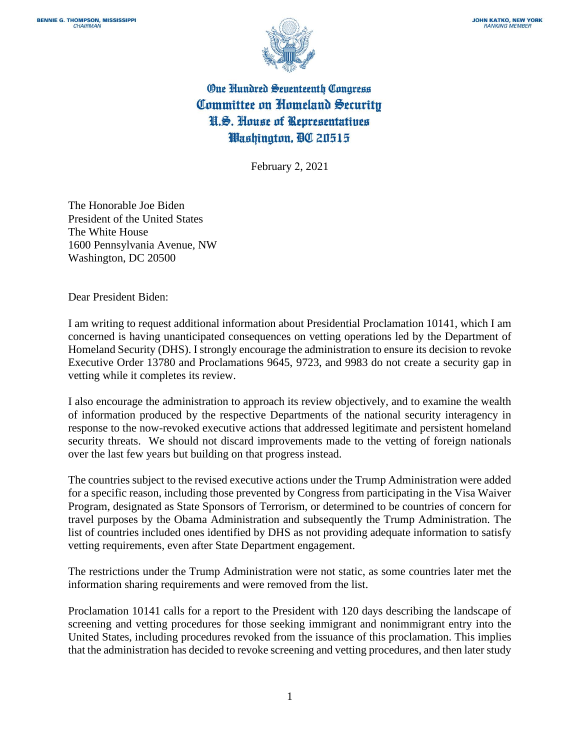

## One Hundred Seventeenth Congress Committee on Homeland Security N.S. House of Representatives Washington, DC 20515

February 2, 2021

The Honorable Joe Biden President of the United States The White House 1600 Pennsylvania Avenue, NW Washington, DC 20500

Dear President Biden:

I am writing to request additional information about Presidential Proclamation 10141, which I am concerned is having unanticipated consequences on vetting operations led by the Department of Homeland Security (DHS). I strongly encourage the administration to ensure its decision to revoke Executive Order 13780 and Proclamations 9645, 9723, and 9983 do not create a security gap in vetting while it completes its review.

I also encourage the administration to approach its review objectively, and to examine the wealth of information produced by the respective Departments of the national security interagency in response to the now-revoked executive actions that addressed legitimate and persistent homeland security threats. We should not discard improvements made to the vetting of foreign nationals over the last few years but building on that progress instead.

The countries subject to the revised executive actions under the Trump Administration were added for a specific reason, including those prevented by Congress from participating in the Visa Waiver Program, designated as State Sponsors of Terrorism, or determined to be countries of concern for travel purposes by the Obama Administration and subsequently the Trump Administration. The list of countries included ones identified by DHS as not providing adequate information to satisfy vetting requirements, even after State Department engagement.

The restrictions under the Trump Administration were not static, as some countries later met the information sharing requirements and were removed from the list.

Proclamation 10141 calls for a report to the President with 120 days describing the landscape of screening and vetting procedures for those seeking immigrant and nonimmigrant entry into the United States, including procedures revoked from the issuance of this proclamation. This implies that the administration has decided to revoke screening and vetting procedures, and then later study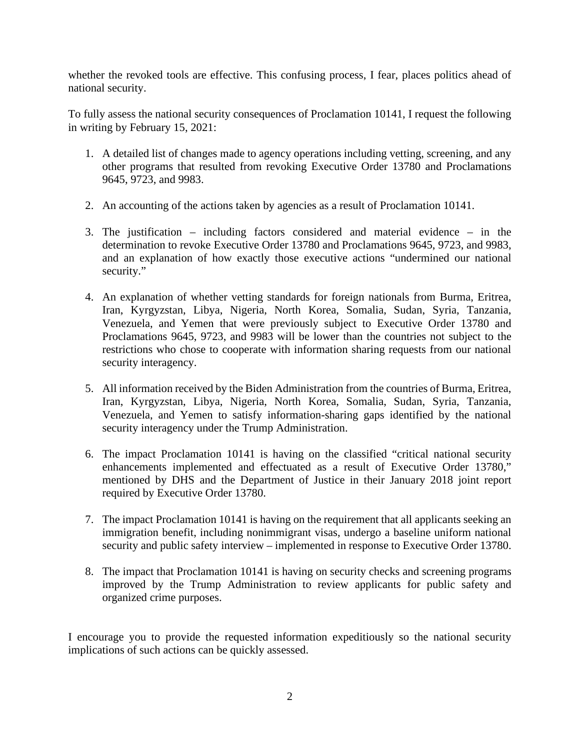whether the revoked tools are effective. This confusing process, I fear, places politics ahead of national security.

To fully assess the national security consequences of Proclamation 10141, I request the following in writing by February 15, 2021:

- 1. A detailed list of changes made to agency operations including vetting, screening, and any other programs that resulted from revoking Executive Order 13780 and Proclamations 9645, 9723, and 9983.
- 2. An accounting of the actions taken by agencies as a result of Proclamation 10141.
- 3. The justification including factors considered and material evidence in the determination to revoke Executive Order 13780 and Proclamations 9645, 9723, and 9983, and an explanation of how exactly those executive actions "undermined our national security."
- 4. An explanation of whether vetting standards for foreign nationals from Burma, Eritrea, Iran, Kyrgyzstan, Libya, Nigeria, North Korea, Somalia, Sudan, Syria, Tanzania, Venezuela, and Yemen that were previously subject to Executive Order 13780 and Proclamations 9645, 9723, and 9983 will be lower than the countries not subject to the restrictions who chose to cooperate with information sharing requests from our national security interagency.
- 5. All information received by the Biden Administration from the countries of Burma, Eritrea, Iran, Kyrgyzstan, Libya, Nigeria, North Korea, Somalia, Sudan, Syria, Tanzania, Venezuela, and Yemen to satisfy information-sharing gaps identified by the national security interagency under the Trump Administration.
- 6. The impact Proclamation 10141 is having on the classified "critical national security enhancements implemented and effectuated as a result of Executive Order 13780," mentioned by DHS and the Department of Justice in their January 2018 joint report required by Executive Order 13780.
- 7. The impact Proclamation 10141 is having on the requirement that all applicants seeking an immigration benefit, including nonimmigrant visas, undergo a baseline uniform national security and public safety interview – implemented in response to Executive Order 13780.
- 8. The impact that Proclamation 10141 is having on security checks and screening programs improved by the Trump Administration to review applicants for public safety and organized crime purposes.

I encourage you to provide the requested information expeditiously so the national security implications of such actions can be quickly assessed.